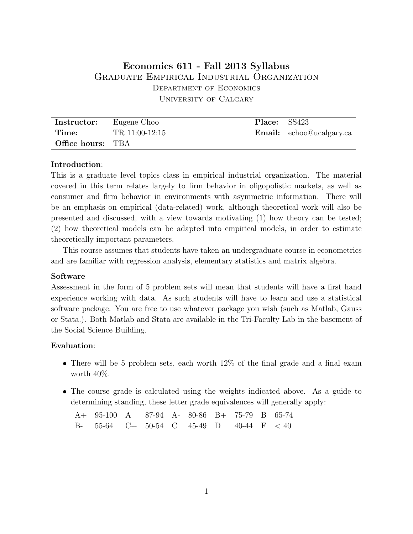# **Economics 611 - Fall 2013 Syllabus** Graduate Empirical Industrial Organization Department of Economics University of Calgary

| Instructor:              | Eugene Choo    | <b>Place:</b> SS423 |                                 |
|--------------------------|----------------|---------------------|---------------------------------|
| Time:                    | TR 11:00-12:15 |                     | <b>Email:</b> echoo@ucalgary.ca |
| <b>Office hours:</b> TBA |                |                     |                                 |

#### **Introduction**:

This is a graduate level topics class in empirical industrial organization. The material covered in this term relates largely to firm behavior in oligopolistic markets, as well as consumer and firm behavior in environments with asymmetric information. There will be an emphasis on empirical (data-related) work, although theoretical work will also be presented and discussed, with a view towards motivating (1) how theory can be tested; (2) how theoretical models can be adapted into empirical models, in order to estimate theoretically important parameters.

This course assumes that students have taken an undergraduate course in econometrics and are familiar with regression analysis, elementary statistics and matrix algebra.

#### **Software**

Assessment in the form of 5 problem sets will mean that students will have a first hand experience working with data. As such students will have to learn and use a statistical software package. You are free to use whatever package you wish (such as Matlab, Gauss or Stata.). Both Matlab and Stata are available in the Tri-Faculty Lab in the basement of the Social Science Building.

#### **Evaluation**:

- There will be 5 problem sets, each worth  $12\%$  of the final grade and a final exam worth 40%.
- The course grade is calculated using the weights indicated above. As a guide to determining standing, these letter grade equivalences will generally apply:

A+ 95-100 A 87-94 A- 80-86 B+ 75-79 B 65-74 B- 55-64 C+ 50-54 C 45-49 D 40-44 F *<* 40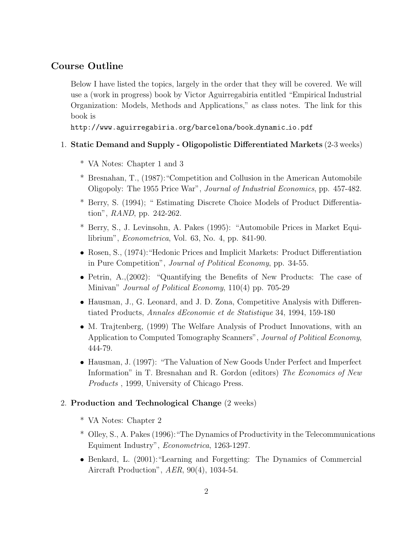## **Course Outline**

Below I have listed the topics, largely in the order that they will be covered. We will use a (work in progress) book by Victor Aguirregabiria entitled "Empirical Industrial Organization: Models, Methods and Applications," as class notes. The link for this book is

http://www.aguirregabiria.org/barcelona/book dynamic io.pdf

## 1. **Static Demand and Supply - Oligopolistic Differentiated Markets** (2-3 weeks)

- \* VA Notes: Chapter 1 and 3
- \* Bresnahan, T., (1987):"Competition and Collusion in the American Automobile Oligopoly: The 1955 Price War", *Journal of Industrial Economics*, pp. 457-482.
- \* Berry, S. (1994); " Estimating Discrete Choice Models of Product Differentiation", *RAND*, pp. 242-262.
- \* Berry, S., J. Levinsohn, A. Pakes (1995): "Automobile Prices in Market Equilibrium", *Econometrica*, Vol. 63, No. 4, pp. 841-90.
- *•* Rosen, S., (1974):"Hedonic Prices and Implicit Markets: Product Differentiation in Pure Competition", *Journal of Political Economy*, pp. 34-55.
- Petrin, A., (2002): "Quantifying the Benefits of New Products: The case of Minivan" *Journal of Political Economy*, 110(4) pp. 705-29
- Hausman, J., G. Leonard, and J. D. Zona, Competitive Analysis with Differentiated Products, *Annales dEconomie et de Statistique* 34, 1994, 159-180
- M. Trajtenberg, (1999) The Welfare Analysis of Product Innovations, with an Application to Computed Tomography Scanners", *Journal of Political Economy*, 444-79.
- *•* Hausman, J. (1997): "The Valuation of New Goods Under Perfect and Imperfect Information" in T. Bresnahan and R. Gordon (editors) *The Economics of New Products* , 1999, University of Chicago Press.

## 2. **Production and Technological Change** (2 weeks)

- \* VA Notes: Chapter 2
- \* Olley, S., A. Pakes (1996):"The Dynamics of Productivity in the Telecommunications Equiment Industry", *Econometrica*, 1263-1297.
- *•* Benkard, L. (2001):"Learning and Forgetting: The Dynamics of Commercial Aircraft Production", *AER*, 90(4), 1034-54.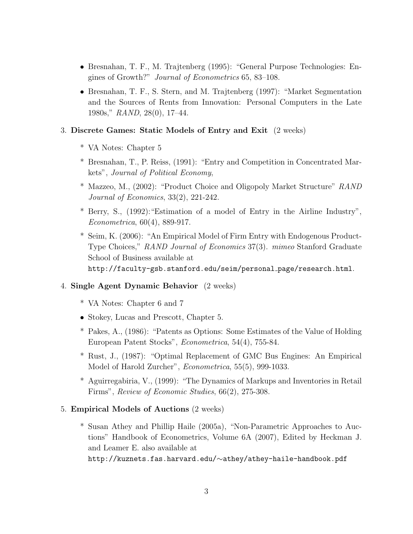- *•* Bresnahan, T. F., M. Trajtenberg (1995): "General Purpose Technologies: Engines of Growth?" *Journal of Econometrics* 65, 83–108.
- *•* Bresnahan, T. F., S. Stern, and M. Trajtenberg (1997): "Market Segmentation and the Sources of Rents from Innovation: Personal Computers in the Late 1980s," *RAND*, 28(0), 17–44.

## 3. **Discrete Games: Static Models of Entry and Exit** (2 weeks)

- \* VA Notes: Chapter 5
- \* Bresnahan, T., P. Reiss, (1991): "Entry and Competition in Concentrated Markets", *Journal of Political Economy*,
- \* Mazzeo, M., (2002): "Product Choice and Oligopoly Market Structure" *RAND Journal of Economics*, 33(2), 221-242.
- \* Berry, S., (1992):"Estimation of a model of Entry in the Airline Industry", *Econometrica*, 60(4), 889-917.
- \* Seim, K. (2006): "An Empirical Model of Firm Entry with Endogenous Product-Type Choices," *RAND Journal of Economics* 37(3). *mimeo* Stanford Graduate School of Business available at http://faculty-gsb.stanford.edu/seim/personal page/research.html.

### 4. **Single Agent Dynamic Behavior** (2 weeks)

- \* VA Notes: Chapter 6 and 7
- *•* Stokey, Lucas and Prescott, Chapter 5.
- \* Pakes, A., (1986): "Patents as Options: Some Estimates of the Value of Holding European Patent Stocks", *Econometrica*, 54(4), 755-84.
- \* Rust, J., (1987): "Optimal Replacement of GMC Bus Engines: An Empirical Model of Harold Zurcher", *Econometrica*, 55(5), 999-1033.
- \* Aguirregabiria, V., (1999): "The Dynamics of Markups and Inventories in Retail Firms", *Review of Economic Studies*, 66(2), 275-308.
- 5. **Empirical Models of Auctions** (2 weeks)
	- \* Susan Athey and Phillip Haile (2005a), "Non-Parametric Approaches to Auctions" Handbook of Econometrics, Volume 6A (2007), Edited by Heckman J. and Leamer E. also available at http://kuznets.fas.harvard.edu/*∼*athey/athey-haile-handbook.pdf